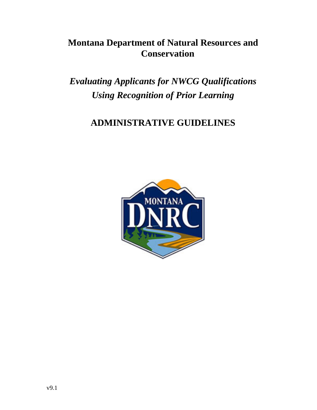# **Montana Department of Natural Resources and Conservation**

*Evaluating Applicants for NWCG Qualifications Using Recognition of Prior Learning*

# **ADMINISTRATIVE GUIDELINES**

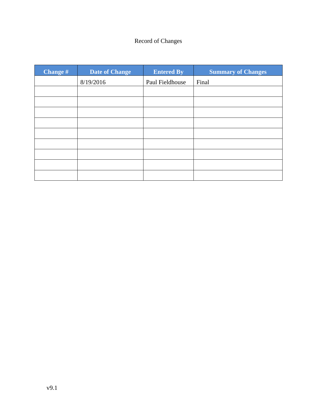# Record of Changes

| <b>Change #</b> | <b>Date of Change</b> | <b>Entered By</b> | <b>Summary of Changes</b> |
|-----------------|-----------------------|-------------------|---------------------------|
|                 | 8/19/2016             | Paul Fieldhouse   | Final                     |
|                 |                       |                   |                           |
|                 |                       |                   |                           |
|                 |                       |                   |                           |
|                 |                       |                   |                           |
|                 |                       |                   |                           |
|                 |                       |                   |                           |
|                 |                       |                   |                           |
|                 |                       |                   |                           |
|                 |                       |                   |                           |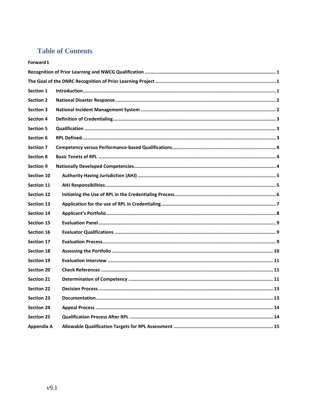# **Table of Contents**

#### Forward 1

| <b>Section 1</b>  |  |  |  |
|-------------------|--|--|--|
| <b>Section 2</b>  |  |  |  |
| <b>Section 3</b>  |  |  |  |
| <b>Section 4</b>  |  |  |  |
| <b>Section 5</b>  |  |  |  |
| Section 6         |  |  |  |
| <b>Section 7</b>  |  |  |  |
| <b>Section 8</b>  |  |  |  |
| <b>Section 9</b>  |  |  |  |
| Section 10        |  |  |  |
| <b>Section 11</b> |  |  |  |
| <b>Section 12</b> |  |  |  |
| <b>Section 13</b> |  |  |  |
| <b>Section 14</b> |  |  |  |
| <b>Section 15</b> |  |  |  |
| Section 16        |  |  |  |
| <b>Section 17</b> |  |  |  |
| <b>Section 18</b> |  |  |  |
| <b>Section 19</b> |  |  |  |
| <b>Section 20</b> |  |  |  |
| <b>Section 21</b> |  |  |  |
| <b>Section 22</b> |  |  |  |
| <b>Section 23</b> |  |  |  |
| <b>Section 24</b> |  |  |  |
| <b>Section 25</b> |  |  |  |
| <b>Appendix A</b> |  |  |  |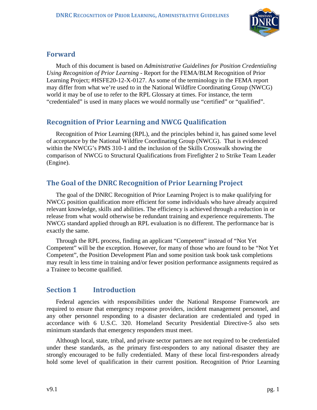

#### <span id="page-4-0"></span>**Forward**

Much of this document is based on *Administrative Guidelines for Position Credentialing Using Recognition of Prior Learning* - Report for the FEMA/BLM Recognition of Prior Learning Project; #HSFE20-12-X-0127. As some of the terminology in the FEMA report may differ from what we're used to in the National Wildfire Coordinating Group (NWCG) world it may be of use to refer to the RPL Glossary at times. For instance, the term "credentialed" is used in many places we would normally use "certified" or "qualified".

#### <span id="page-4-1"></span>**Recognition of Prior Learning and NWCG Qualification**

Recognition of Prior Learning (RPL), and the principles behind it, has gained some level of acceptance by the National Wildfire Coordinating Group (NWCG). That is evidenced within the NWCG's PMS 310-1 and the inclusion of the Skills Crosswalk showing the comparison of NWCG to Structural Qualifications from Firefighter 2 to Strike Team Leader (Engine).

# <span id="page-4-2"></span>**The Goal of the DNRC Recognition of Prior Learning Project**

The goal of the DNRC Recognition of Prior Learning Project is to make qualifying for NWCG position qualification more efficient for some individuals who have already acquired relevant knowledge, skills and abilities. The efficiency is achieved through a reduction in or release from what would otherwise be redundant training and experience requirements. The NWCG standard applied through an RPL evaluation is no different. The performance bar is exactly the same.

Through the RPL process, finding an applicant "Competent" instead of "Not Yet Competent" will be the exception. However, for many of those who are found to be "Not Yet Competent", the Position Development Plan and some position task book task completions may result in less time in training and/or fewer position performance assignments required as a Trainee to become qualified.

# <span id="page-4-3"></span>**Section 1 Introduction**

Federal agencies with responsibilities under the National Response Framework are required to ensure that emergency response providers, incident management personnel, and any other personnel responding to a disaster declaration are credentialed and typed in accordance with 6 U.S.C. 320. Homeland Security Presidential Directive-5 also sets minimum standards that emergency responders must meet.

Although local, state, tribal, and private sector partners are not required to be credentialed under these standards, as the primary first-responders to any national disaster they are strongly encouraged to be fully credentialed. Many of these local first-responders already hold some level of qualification in their current position. Recognition of Prior Learning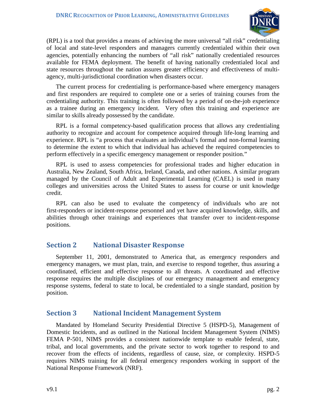

(RPL) is a tool that provides a means of achieving the more universal "all risk" credentialing of local and state-level responders and managers currently credentialed within their own agencies, potentially enhancing the numbers of "all risk" nationally credentialed resources available for FEMA deployment. The benefit of having nationally credentialed local and state resources throughout the nation assures greater efficiency and effectiveness of multiagency, multi-jurisdictional coordination when disasters occur.

The current process for credentialing is performance-based where emergency managers and first responders are required to complete one or a series of training courses from the credentialing authority. This training is often followed by a period of on-the-job experience as a trainee during an emergency incident. Very often this training and experience are similar to skills already possessed by the candidate.

RPL is a formal competency-based qualification process that allows any credentialing authority to recognize and account for competence acquired through life-long learning and experience. RPL is "a process that evaluates an individual's formal and non-formal learning to determine the extent to which that individual has achieved the required competencies to perform effectively in a specific emergency management or responder position."

RPL is used to assess competencies for professional trades and higher education in Australia, New Zealand, South Africa, Ireland, Canada, and other nations. A similar program managed by the Council of Adult and Experimental Learning (CAEL) is used in many colleges and universities across the United States to assess for course or unit knowledge credit.

RPL can also be used to evaluate the competency of individuals who are not first-responders or incident-response personnel and yet have acquired knowledge, skills, and abilities through other trainings and experiences that transfer over to incident-response positions.

#### <span id="page-5-0"></span>**Section 2 National Disaster Response**

September 11, 2001, demonstrated to America that, as emergency responders and emergency managers, we must plan, train, and exercise to respond together, thus assuring a coordinated, efficient and effective response to all threats. A coordinated and effective response requires the multiple disciplines of our emergency management and emergency response systems, federal to state to local, be credentialed to a single standard, position by position.

#### <span id="page-5-1"></span>**Section 3 National Incident Management System**

Mandated by Homeland Security Presidential Directive 5 (HSPD-5), Management of Domestic Incidents, and as outlined in the National Incident Management System (NIMS) FEMA P-501, NIMS provides a consistent nationwide template to enable federal, state, tribal, and local governments, and the private sector to work together to respond to and recover from the effects of incidents, regardless of cause, size, or complexity. HSPD-5 requires NIMS training for all federal emergency responders working in support of the National Response Framework (NRF).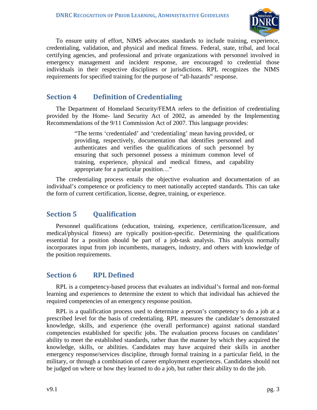

To ensure unity of effort, NIMS advocates standards to include training, experience, credentialing, validation, and physical and medical fitness. Federal, state, tribal, and local certifying agencies, and professional and private organizations with personnel involved in emergency management and incident response, are encouraged to credential those individuals in their respective disciplines or jurisdictions. RPL recognizes the NIMS requirements for specified training for the purpose of "all-hazards" response.

#### <span id="page-6-0"></span>**Section 4 Definition of Credentialing**

The Department of Homeland Security/FEMA refers to the definition of credentialing provided by the Home- land Security Act of 2002, as amended by the Implementing Recommendations of the 9/11 Commission Act of 2007. This language provides:

> "The terms 'credentialed' and 'credentialing' mean having provided, or providing, respectively, documentation that identifies personnel and authenticates and verifies the qualifications of such personnel by ensuring that such personnel possess a minimum common level of training, experience, physical and medical fitness, and capability appropriate for a particular position…"

The credentialing process entails the objective evaluation and documentation of an individual's competence or proficiency to meet nationally accepted standards. This can take the form of current certification, license, degree, training, or experience.

#### <span id="page-6-1"></span>**Section 5 Qualification**

Personnel qualifications (education, training, experience, certification/licensure, and medical/physical fitness) are typically position-specific. Determining the qualifications essential for a position should be part of a job-task analysis. This analysis normally incorporates input from job incumbents, managers, industry, and others with knowledge of the position requirements.

#### <span id="page-6-2"></span>**Section 6 RPL Defined**

RPL is a competency-based process that evaluates an individual's formal and non-formal learning and experiences to determine the extent to which that individual has achieved the required competencies of an emergency response position.

RPL is a qualification process used to determine a person's competency to do a job at a prescribed level for the basis of credentialing. RPL measures the candidate's demonstrated knowledge, skills, and experience (the overall performance) against national standard competencies established for specific jobs. The evaluation process focuses on candidates' ability to meet the established standards, rather than the manner by which they acquired the knowledge, skills, or abilities. Candidates may have acquired their skills in another emergency response/services discipline, through formal training in a particular field, in the military, or through a combination of career employment experiences. Candidates should not be judged on where or how they learned to do a job, but rather their ability to do the job.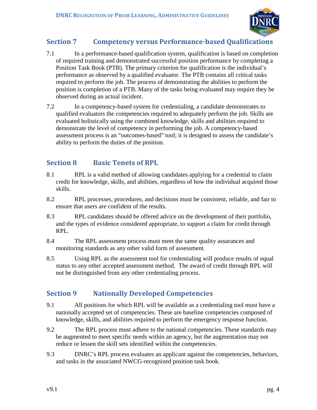

# <span id="page-7-0"></span>**Section 7 Competency versus Performance-based Qualifications**

- 7.1 In a performance-based qualification system, qualification is based on completion of required training and demonstrated successful position performance by completing a Position Task Book (PTB). The primary criterion for qualification is the individual's performance as observed by a qualified evaluator. The PTB contains all critical tasks required to perform the job. The process of demonstrating the abilities to perform the position is completion of a PTB. Many of the tasks being evaluated may require they be observed during an actual incident.
- 7.2 In a competency-based system for credentialing, a candidate demonstrates to qualified evaluators the competencies required to adequately perform the job. Skills are evaluated holistically using the combined knowledge, skills and abilities required to demonstrate the level of competency in performing the job. A competency-based assessment process is an "outcomes-based" tool; it is designed to assess the candidate's ability to perform the duties of the position.

#### <span id="page-7-1"></span>**Section 8 Basic Tenets of RPL**

- 8.1 RPL is a valid method of allowing candidates applying for a credential to claim credit for knowledge, skills, and abilities, regardless of how the individual acquired those skills.
- 8.2 RPL processes, procedures, and decisions must be consistent, reliable, and fair to ensure that users are confident of the results.
- 8.3 RPL candidates should be offered advice on the development of their portfolio, and the types of evidence considered appropriate, to support a claim for credit through RPL.
- 8.4 The RPL assessment process must meet the same quality assurances and monitoring standards as any other valid form of assessment.
- 8.5 Using RPL as the assessment tool for credentialing will produce results of equal status to any other accepted assessment method. The award of credit through RPL will not be distinguished from any other credentialing process.

# <span id="page-7-2"></span>**Section 9 Nationally Developed Competencies**

- 9.1 All positions for which RPL will be available as a credentialing tool must have a nationally accepted set of competencies. These are baseline competencies composed of knowledge, skills, and abilities required to perform the emergency response function.
- 9.2 The RPL process must adhere to the national competencies. These standards may be augmented to meet specific needs within an agency, but the augmentation may not reduce or lessen the skill sets identified within the competencies.
- 9.3 DNRC's RPL process evaluates an applicant against the competencies, behaviors, and tasks in the associated NWCG-recognized position task book.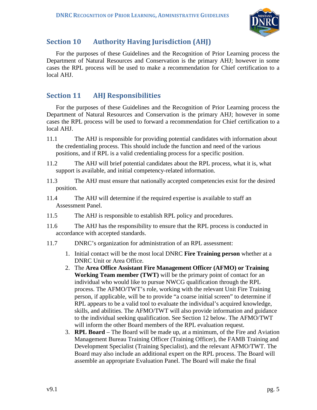

# <span id="page-8-0"></span>**Section 10 Authority Having Jurisdiction (AHJ)**

For the purposes of these Guidelines and the Recognition of Prior Learning process the Department of Natural Resources and Conservation is the primary AHJ; however in some cases the RPL process will be used to make a recommendation for Chief certification to a local AHJ.

#### <span id="page-8-1"></span>**Section 11 AHJ Responsibilities**

For the purposes of these Guidelines and the Recognition of Prior Learning process the Department of Natural Resources and Conservation is the primary AHJ; however in some cases the RPL process will be used to forward a recommendation for Chief certification to a local AHJ.

- 11.1 The AHJ is responsible for providing potential candidates with information about the credentialing process. This should include the function and need of the various positions, and if RPL is a valid credentialing process for a specific position.
- 11.2 The AHJ will brief potential candidates about the RPL process, what it is, what support is available, and initial competency-related information.
- 11.3 The AHJ must ensure that nationally accepted competencies exist for the desired position.
- 11.4 The AHJ will determine if the required expertise is available to staff an Assessment Panel.
- 11.5 The AHJ is responsible to establish RPL policy and procedures.
- 11.6 The AHJ has the responsibility to ensure that the RPL process is conducted in accordance with accepted standards.
- 11.7 DNRC's organization for administration of an RPL assessment:
	- 1. Initial contact will be the most local DNRC **Fire Training person** whether at a DNRC Unit or Area Office.
	- 2. The **Area Office Assistant Fire Management Officer (AFMO) or Training Working Team member (TWT)** will be the primary point of contact for an individual who would like to pursue NWCG qualification through the RPL process. The AFMO/TWT's role, working with the relevant Unit Fire Training person, if applicable, will be to provide "a coarse initial screen" to determine if RPL appears to be a valid tool to evaluate the individual's acquired knowledge, skills, and abilities. The AFMO/TWT will also provide information and guidance to the individual seeking qualification. See Section 12 below. The AFMO/TWT will inform the other Board members of the RPL evaluation request.
	- 3. **RPL Board** The Board will be made up, at a minimum, of the Fire and Aviation Management Bureau Training Officer (Training Officer), the FAMB Training and Development Specialist (Training Specialist), and the relevant AFMO/TWT. The Board may also include an additional expert on the RPL process. The Board will assemble an appropriate Evaluation Panel. The Board will make the final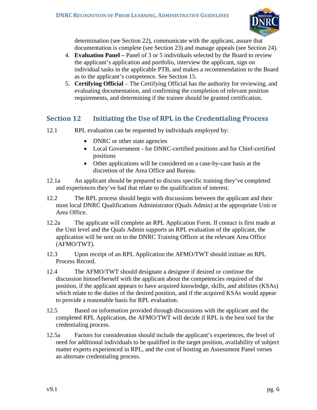

determination (see Section 22), communicate with the applicant, assure that documentation is complete (see Section 23) and manage appeals (see Section 24).

- 4. **Evaluation Panel –** Panel of 3 or 5 individuals selected by the Board to review the applicant's application and portfolio, interview the applicant, sign on individual tasks in the applicable PTB, and makes a recommendation to the Board as to the applicant's competence. See Section 15.
- 5. **Certifying Official** The Certifying Official has the authority for reviewing, and evaluating documentation, and confirming the completion of relevant position requirements, and determining if the trainee should be granted certification.

# <span id="page-9-0"></span>**Section 12 Initiating the Use of RPL in the Credentialing Process**

- 12.1 RPL evaluation can be requested by individuals employed by:
	- DNRC or other state agencies
	- Local Government for DNRC-certified positions and for Chief-certified positions
	- Other applications will be considered on a case-by-case basis at the discretion of the Area Office and Bureau.
- 12.1a An applicant should be prepared to discuss specific training they've completed and experiences they've had that relate to the qualification of interest.
- 12.2 The RPL process should begin with discussions between the applicant and their most local DNRC Qualifications Administrator (Quals Admin) at the appropriate Unit or Area Office.
- 12.2a The applicant will complete an RPL Application Form. If contact is first made at the Unit level and the Quals Admin supports an RPL evaluation of the applicant, the application will be sent on to the DNRC Training Officer at the relevant Area Office (AFMO/TWT).
- 12.3 Upon receipt of an RPL Application the AFMO/TWT should initiate an RPL Process Record.
- 12.4 The AFMO/TWT should designate a designee if desired or continue the discussion himsef/herself with the applicant about the competencies required of the position, if the applicant appears to have acquired knowledge, skills, and abilities (KSAs) which relate to the duties of the desired position, and if the acquired KSAs would appear to provide a reasonable basis for RPL evaluation.
- 12.5 Based on information provided through discussions with the applicant and the completed RPL Application, the AFMO/TWT will decide if RPL is the best tool for the credentialing process.
- 12.5a Factors for consideration should include the applicant's experiences, the level of need for additional individuals to be qualified in the target position, availability of subject matter experts experienced in RPL, and the cost of hosting an Assessment Panel verses an alternate credentialing process.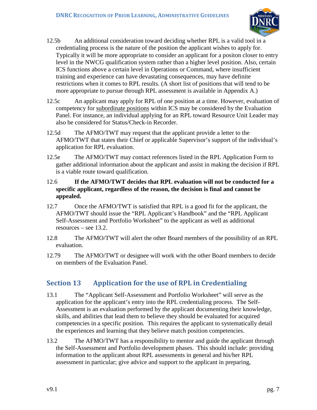

- 12.5b An additional consideration toward deciding whether RPL is a valid tool in a credentialing process is the nature of the position the applicant wishes to apply for. Typically it will be more appropriate to consider an applicant for a positon closer to entry level in the NWCG qualification system rather than a higher level position. Also, certain ICS functions above a certain level in Operations or Command, where insufficient training and experience can have devastating consequences, may have definite restrictions when it comes to RPL results. (A short list of positions that will tend to be more appropriate to pursue through RPL assessment is available in Appendix A.)
- 12.5c An applicant may apply for RPL of one position at a time. However, evaluation of competency for subordinate positions within ICS may be considered by the Evaluation Panel. For instance, an individual applying for an RPL toward Resource Unit Leader may also be considered for Status/Check-in Recorder.
- 12.5d The AFMO/TWT may request that the applicant provide a letter to the AFMO/TWT that states their Chief or applicable Supervisor's support of the individual's application for RPL evaluation.
- 12.5e The AFMO/TWT may contact references listed in the RPL Application Form to gather additional information about the applicant and assist in making the decision if RPL is a viable route toward qualification.
- 12.6 **If the AFMO/TWT decides that RPL evaluation will not be conducted for a specific applicant, regardless of the reason, the decision is final and cannot be appealed.**
- 12.7 Once the AFMO/TWT is satisfied that RPL is a good fit for the applicant, the AFMO/TWT should issue the "RPL Applicant's Handbook" and the "RPL Applicant Self-Assessment and Portfolio Worksheet" to the applicant as well as additional resources – see 13.2.
- 12.8 The AFMO/TWT will alert the other Board members of the possibility of an RPL evaluation.
- 12.79 The AFMO/TWT or designee will work with the other Board members to decide on members of the Evaluation Panel.

# <span id="page-10-0"></span>**Section 13 Application for the use of RPL in Credentialing**

- 13.1 The "Applicant Self-Assessment and Portfolio Worksheet" will serve as the application for the applicant's entry into the RPL credentialing process. The Self-Assessment is an evaluation performed by the applicant documenting their knowledge, skills, and abilities that lead them to believe they should be evaluated for acquired competencies in a specific position. This requires the applicant to systematically detail the experiences and learning that they believe match position competencies.
- 13.2 The AFMO/TWT has a responsibility to mentor and guide the applicant through the Self-Assessment and Portfolio development phases. This should include: providing information to the applicant about RPL assessments in general and his/her RPL assessment in particular; give advice and support to the applicant in preparing,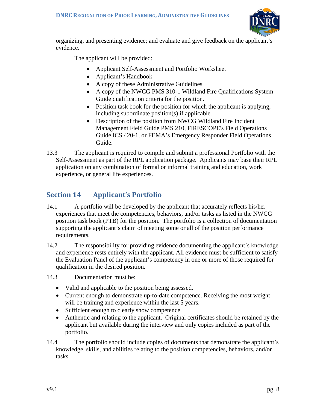

organizing, and presenting evidence; and evaluate and give feedback on the applicant's evidence.

The applicant will be provided:

- Applicant Self-Assessment and Portfolio Worksheet
- Applicant's Handbook
- A copy of these Administrative Guidelines
- A copy of the NWCG PMS 310-1 Wildland Fire Qualifications System Guide qualification criteria for the position.
- Position task book for the position for which the applicant is applying, including subordinate position(s) if applicable.
- Description of the position from NWCG Wildland Fire Incident Management Field Guide PMS 210, FIRESCOPE's Field Operations Guide ICS 420-1, or FEMA's Emergency Responder Field Operations Guide.
- 13.3 The applicant is required to compile and submit a professional Portfolio with the Self-Assessment as part of the RPL application package. Applicants may base their RPL application on any combination of formal or informal training and education, work experience, or general life experiences.

# <span id="page-11-0"></span>**Section 14 Applicant's Portfolio**

- 14.1 A portfolio will be developed by the applicant that accurately reflects his/her experiences that meet the competencies, behaviors, and/or tasks as listed in the NWCG position task book (PTB) for the position. The portfolio is a collection of documentation supporting the applicant's claim of meeting some or all of the position performance requirements.
- 14.2 The responsibility for providing evidence documenting the applicant's knowledge and experience rests entirely with the applicant. All evidence must be sufficient to satisfy the Evaluation Panel of the applicant's competency in one or more of those required for qualification in the desired position.

14.3 Documentation must be:

- Valid and applicable to the position being assessed.
- Current enough to demonstrate up-to-date competence. Receiving the most weight will be training and experience within the last 5 years.
- Sufficient enough to clearly show competence.
- Authentic and relating to the applicant. Original certificates should be retained by the applicant but available during the interview and only copies included as part of the portfolio.
- 14.4 The portfolio should include copies of documents that demonstrate the applicant's knowledge, skills, and abilities relating to the position competencies, behaviors, and/or tasks.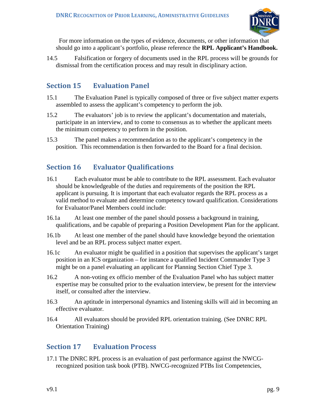

 For more information on the types of evidence, documents, or other information that should go into a applicant's portfolio, please reference the **RPL Applicant's Handbook.**

14.5 Falsification or forgery of documents used in the RPL process will be grounds for dismissal from the certification process and may result in disciplinary action.

# <span id="page-12-0"></span>**Section 15 Evaluation Panel**

- 15.1 The Evaluation Panel is typically composed of three or five subject matter experts assembled to assess the applicant's competency to perform the job.
- 15.2 The evaluators' job is to review the applicant's documentation and materials, participate in an interview, and to come to consensus as to whether the applicant meets the minimum competency to perform in the position.
- 15.3 The panel makes a recommendation as to the applicant's competency in the position. This recommendation is then forwarded to the Board for a final decision.

# <span id="page-12-1"></span>**Section 16 Evaluator Qualifications**

- 16.1 Each evaluator must be able to contribute to the RPL assessment. Each evaluator should be knowledgeable of the duties and requirements of the position the RPL applicant is pursuing. It is important that each evaluator regards the RPL process as a valid method to evaluate and determine competency toward qualification. Considerations for Evaluator/Panel Members could include:
- 16.1a At least one member of the panel should possess a background in training, qualifications, and be capable of preparing a Position Development Plan for the applicant.
- 16.1b At least one member of the panel should have knowledge beyond the orientation level and be an RPL process subject matter expert.
- 16.1c An evaluator might be qualified in a position that supervises the applicant's target position in an ICS organization – for instance a qualified Incident Commander Type 3 might be on a panel evaluating an applicant for Planning Section Chief Type 3.
- 16.2 A non-voting ex officio member of the Evaluation Panel who has subject matter expertise may be consulted prior to the evaluation interview, be present for the interview itself, or consulted after the interview.
- 16.3 An aptitude in interpersonal dynamics and listening skills will aid in becoming an effective evaluator.
- 16.4 All evaluators should be provided RPL orientation training. (See DNRC RPL Orientation Training)

# <span id="page-12-2"></span>**Section 17 Evaluation Process**

17.1 The DNRC RPL process is an evaluation of past performance against the NWCGrecognized position task book (PTB). NWCG-recognized PTBs list Competencies,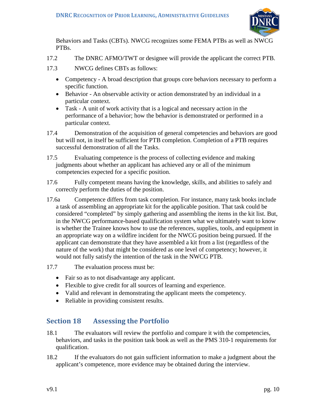

Behaviors and Tasks (CBTs). NWCG recognizes some FEMA PTBs as well as NWCG PTBs.

- 17.2 The DNRC AFMO/TWT or designee will provide the applicant the correct PTB.
- 17.3 NWCG defines CBTs as follows:
	- Competency A broad description that groups core behaviors necessary to perform a specific function.
	- Behavior An observable activity or action demonstrated by an individual in a particular context.
	- Task A unit of work activity that is a logical and necessary action in the performance of a behavior; how the behavior is demonstrated or performed in a particular context.
- 17.4 Demonstration of the acquisition of general competencies and behaviors are good but will not, in itself be sufficient for PTB completion. Completion of a PTB requires successful demonstration of all the Tasks.
- 17.5 Evaluating competence is the process of collecting evidence and making judgments about whether an applicant has achieved any or all of the minimum competencies expected for a specific position.
- 17.6 Fully competent means having the knowledge, skills, and abilities to safely and correctly perform the duties of the position.
- 17.6a Competence differs from task completion. For instance, many task books include a task of assembling an appropriate kit for the applicable position. That task could be considered "completed" by simply gathering and assembling the items in the kit list. But, in the NWCG performance-based qualification system what we ultimately want to know is whether the Trainee knows how to use the references, supplies, tools, and equipment in an appropriate way on a wildfire incident for the NWCG position being pursued. If the applicant can demonstrate that they have assembled a kit from a list (regardless of the nature of the work) that might be considered as one level of competency; however, it would not fully satisfy the intention of the task in the NWCG PTB.
- 17.7 The evaluation process must be:
	- Fair so as to not disadvantage any applicant.
	- Flexible to give credit for all sources of learning and experience.
	- Valid and relevant in demonstrating the applicant meets the competency.
	- Reliable in providing consistent results.

# <span id="page-13-0"></span>**Section 18 Assessing the Portfolio**

- 18.1 The evaluators will review the portfolio and compare it with the competencies, behaviors, and tasks in the position task book as well as the PMS 310-1 requirements for qualification.
- 18.2 If the evaluators do not gain sufficient information to make a judgment about the applicant's competence, more evidence may be obtained during the interview.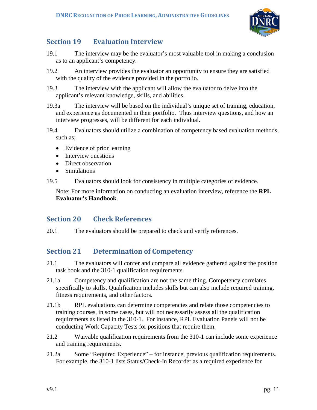

# <span id="page-14-0"></span>**Section 19 Evaluation Interview**

- 19.1 The interview may be the evaluator's most valuable tool in making a conclusion as to an applicant's competency.
- 19.2 An interview provides the evaluator an opportunity to ensure they are satisfied with the quality of the evidence provided in the portfolio.
- 19.3 The interview with the applicant will allow the evaluator to delve into the applicant's relevant knowledge, skills, and abilities.
- 19.3a The interview will be based on the individual's unique set of training, education, and experience as documented in their portfolio. Thus interview questions, and how an interview progresses, will be different for each individual.
- 19.4 Evaluators should utilize a combination of competency based evaluation methods, such as;
	- Evidence of prior learning
	- Interview questions
	- Direct observation
	- Simulations
- 19.5 Evaluators should look for consistency in multiple categories of evidence.

Note: For more information on conducting an evaluation interview, reference the **RPL Evaluator's Handbook**.

# <span id="page-14-1"></span>**Section 20 Check References**

20.1 The evaluators should be prepared to check and verify references.

# <span id="page-14-2"></span>**Section 21 Determination of Competency**

- 21.1 The evaluators will confer and compare all evidence gathered against the position task book and the 310-1 qualification requirements.
- 21.1a Competency and qualification are not the same thing. Competency correlates specifically to skills. Qualification includes skills but can also include required training, fitness requirements, and other factors.
- 21.1b RPL evaluations can determine competencies and relate those competencies to training courses, in some cases, but will not necessarily assess all the qualification requirements as listed in the 310-1. For instance, RPL Evaluation Panels will not be conducting Work Capacity Tests for positions that require them.
- 21.2 Waivable qualification requirements from the 310-1 can include some experience and training requirements.
- 21.2a Some "Required Experience" for instance, previous qualification requirements. For example, the 310-1 lists Status/Check-In Recorder as a required experience for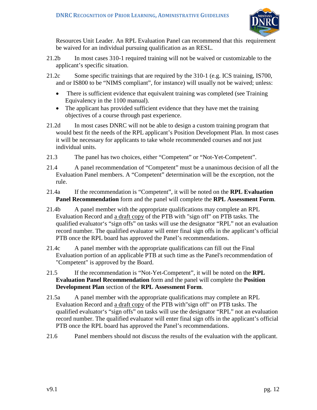

Resources Unit Leader. An RPL Evaluation Panel can recommend that this requirement be waived for an individual pursuing qualification as an RESL.

- 21.2b In most cases 310-1 required training will not be waived or customizable to the applicant's specific situation.
- 21.2c Some specific trainings that are required by the 310-1 (e.g. ICS training, IS700, and or IS800 to be "NIMS compliant", for instance) will usually not be waived; unless:
	- There is sufficient evidence that equivalent training was completed (see Training Equivalency in the 1100 manual).
	- The applicant has provided sufficient evidence that they have met the training objectives of a course through past experience.
- 21.2d In most cases DNRC will not be able to design a custom training program that would best fit the needs of the RPL applicant's Position Development Plan. In most cases it will be necessary for applicants to take whole recommended courses and not just individual units.
- 21.3 The panel has two choices, either "Competent" or "Not-Yet-Competent".
- 21.4 A panel recommendation of "Competent" must be a unanimous decision of all the Evaluation Panel members. A "Competent" determination will be the exception, not the rule.
- 21.4a If the recommendation is "Competent", it will be noted on the **RPL Evaluation Panel Recommendation** form and the panel will complete the **RPL Assessment Form**.
- 21.4b A panel member with the appropriate qualifications may complete an RPL Evaluation Record and a draft copy of the PTB with "sign off" on PTB tasks. The qualified evaluator's "sign offs" on tasks will use the designator "RPL" not an evaluation record number. The qualified evaluator will enter final sign offs in the applicant's official PTB once the RPL board has approved the Panel's recommendations.
- 21.4c A panel member with the appropriate qualifications can fill out the Final Evaluation portion of an applicable PTB at such time as the Panel's recommendation of "Competent" is approved by the Board.
- 21.5 If the recommendation is "Not-Yet-Competent", it will be noted on the **RPL Evaluation Panel Recommendation** form and the panel will complete the **Position Development Plan** section of the **RPL Assessment Form**.
- 21.5a A panel member with the appropriate qualifications may complete an RPL Evaluation Record and a draft copy of the PTB with"sign off" on PTB tasks. The qualified evaluator's "sign offs" on tasks will use the designator "RPL" not an evaluation record number. The qualified evaluator will enter final sign offs in the applicant's official PTB once the RPL board has approved the Panel's recommendations.
- 21.6 Panel members should not discuss the results of the evaluation with the applicant.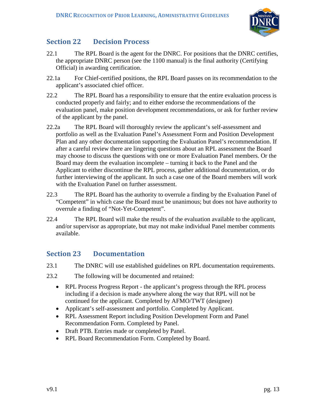

#### <span id="page-16-0"></span>**Section 22 Decision Process**

- 22.1 The RPL Board is the agent for the DNRC. For positions that the DNRC certifies, the appropriate DNRC person (see the 1100 manual) is the final authority (Certifying Official) in awarding certification.
- 22.1a For Chief-certified positions, the RPL Board passes on its recommendation to the applicant's associated chief officer.
- 22.2 The RPL Board has a responsibility to ensure that the entire evaluation process is conducted properly and fairly; and to either endorse the recommendations of the evaluation panel, make position development recommendations, or ask for further review of the applicant by the panel.
- 22.2a The RPL Board will thoroughly review the applicant's self-assessment and portfolio as well as the Evaluation Panel's Assessment Form and Position Development Plan and any other documentation supporting the Evaluation Panel's recommendation. If after a careful review there are lingering questions about an RPL assessment the Board may choose to discuss the questions with one or more Evaluation Panel members. Or the Board may deem the evaluation incomplete – turning it back to the Panel and the Applicant to either discontinue the RPL process, gather additional documentation, or do further interviewing of the applicant. In such a case one of the Board members will work with the Evaluation Panel on further assessment.
- 22.3 The RPL Board has the authority to overrule a finding by the Evaluation Panel of "Competent" in which case the Board must be unanimous; but does not have authority to overrule a finding of "Not-Yet-Competent".
- 22.4 The RPL Board will make the results of the evaluation available to the applicant, and/or supervisor as appropriate, but may not make individual Panel member comments available.

#### <span id="page-16-1"></span>**Section 23 Documentation**

- 23.1 The DNRC will use established guidelines on RPL documentation requirements.
- 23.2 The following will be documented and retained:
	- RPL Process Progress Report the applicant's progress through the RPL process including if a decision is made anywhere along the way that RPL will not be continued for the applicant. Completed by AFMO/TWT (designee)
	- Applicant's self-assessment and portfolio. Completed by Applicant.
	- RPL Assessment Report including Position Development Form and Panel Recommendation Form. Completed by Panel.
	- Draft PTB. Entries made or completed by Panel.
	- RPL Board Recommendation Form. Completed by Board.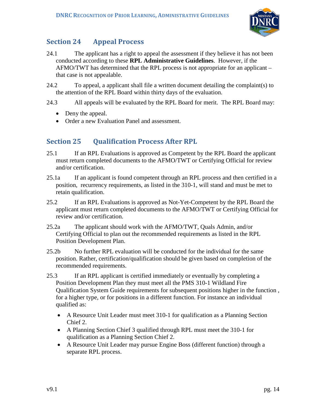

# <span id="page-17-0"></span>**Section 24 Appeal Process**

- 24.1 The applicant has a right to appeal the assessment if they believe it has not been conducted according to these **RPL Administrative Guidelines**. However, if the AFMO/TWT has determined that the RPL process is not appropriate for an applicant – that case is not appealable.
- 24.2 To appeal, a applicant shall file a written document detailing the complaint(s) to the attention of the RPL Board within thirty days of the evaluation.
- 24.3 All appeals will be evaluated by the RPL Board for merit. The RPL Board may:
	- Deny the appeal.
	- Order a new Evaluation Panel and assessment.

# <span id="page-17-1"></span>**Section 25 Qualification Process After RPL**

- 25.1 If an RPL Evaluations is approved as Competent by the RPL Board the applicant must return completed documents to the AFMO/TWT or Certifying Official for review and/or certification.
- 25.1a If an applicant is found competent through an RPL process and then certified in a position, recurrency requirements, as listed in the 310-1, will stand and must be met to retain qualification.
- 25.2 If an RPL Evaluations is approved as Not-Yet-Competent by the RPL Board the applicant must return completed documents to the AFMO/TWT or Certifying Official for review and/or certification.
- 25.2a The applicant should work with the AFMO/TWT, Quals Admin, and/or Certifying Official to plan out the recommended requirements as listed in the RPL Position Development Plan.
- 25.2b No further RPL evaluation will be conducted for the individual for the same position. Rather, certification/qualification should be given based on completion of the recommended requirements.
- 25.3 If an RPL applicant is certified immediately or eventually by completing a Position Development Plan they must meet all the PMS 310-1 Wildland Fire Qualification System Guide requirements for subsequent positions higher in the function , for a higher type, or for positions in a different function. For instance an individual qualified as:
	- A Resource Unit Leader must meet 310-1 for qualification as a Planning Section Chief 2.
	- A Planning Section Chief 3 qualified through RPL must meet the 310-1 for qualification as a Planning Section Chief 2.
	- A Resource Unit Leader may pursue Engine Boss (different function) through a separate RPL process.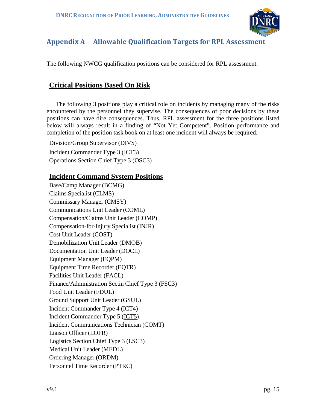

# <span id="page-18-0"></span>**Appendix A Allowable Qualification Targets for RPL Assessment**

The following NWCG qualification positions can be considered for RPL assessment.

# **Critical Positions Based On Risk**

The following 3 positions play a critical role on incidents by managing many of the risks encountered by the personnel they supervise. The consequences of poor decisions by these positions can have dire consequences. Thus, RPL assessment for the three positions listed below will always result in a finding of "Not Yet Competent". Position performance and completion of the position task book on at least one incident will always be required.

Division/Group Supervisor (DIVS) Incident Commander Type 3 (ICT3) Operations Section Chief Type 3 (OSC3)

#### **Incident Command System Positions**

Base/Camp Manager (BCMG) Claims Specialist (CLMS) Commissary Manager (CMSY) Communications Unit Leader (COML) Compensation/Claims Unit Leader (COMP) Compensation-for-Injury Specialist (INJR) Cost Unit Leader (COST) Demobilization Unit Leader (DMOB) Documentation Unit Leader (DOCL) Equipment Manager (EQPM) Equipment Time Recorder (EQTR) Facilities Unit Leader (FACL) Finance/Administration Sectin Chief Type 3 (FSC3) Food Unit Leader (FDUL) Ground Support Unit Leader (GSUL) Incident Commander Type 4 (ICT4) Incident Commander Type 5 (ICT5) Incident Communications Technician (COMT) Liaison Officer (LOFR) Logistics Section Chief Type 3 (LSC3) Medical Unit Leader (MEDL) Ordering Manager (ORDM) Personnel Time Recorder (PTRC)